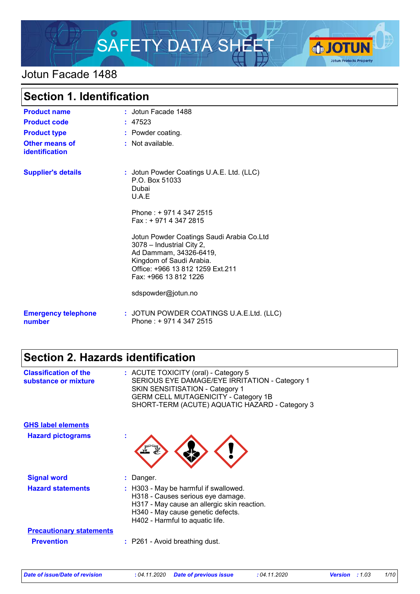

### Jotun Facade 1488

| <b>Section 1. Identification</b>        |                                                                                                                                                                                           |
|-----------------------------------------|-------------------------------------------------------------------------------------------------------------------------------------------------------------------------------------------|
| <b>Product name</b>                     | : Jotun Facade 1488                                                                                                                                                                       |
| <b>Product code</b>                     | : 47523                                                                                                                                                                                   |
| <b>Product type</b>                     | : Powder coating.                                                                                                                                                                         |
| <b>Other means of</b><br>identification | : Not available.                                                                                                                                                                          |
| <b>Supplier's details</b>               | : Jotun Powder Coatings U.A.E. Ltd. (LLC)<br>P.O. Box 51033<br>Dubai<br>U.A.E                                                                                                             |
|                                         | Phone: +9714 347 2515<br>Fax: + 971 4 347 2815                                                                                                                                            |
|                                         | Jotun Powder Coatings Saudi Arabia Co.Ltd<br>3078 - Industrial City 2,<br>Ad Dammam, 34326-6419,<br>Kingdom of Saudi Arabia.<br>Office: +966 13 812 1259 Ext.211<br>Fax: +966 13 812 1226 |
|                                         | sdspowder@jotun.no                                                                                                                                                                        |
| <b>Emergency telephone</b><br>number    | : JOTUN POWDER COATINGS U.A.E.Ltd. (LLC)<br>Phone: +9714 347 2515                                                                                                                         |

## **Section 2. Hazards identification**

| <b>Classification of the</b><br>substance or mixture | : ACUTE TOXICITY (oral) - Category 5<br>SERIOUS EYE DAMAGE/EYE IRRITATION - Category 1<br><b>SKIN SENSITISATION - Category 1</b><br><b>GERM CELL MUTAGENICITY - Category 1B</b><br>SHORT-TERM (ACUTE) AQUATIC HAZARD - Category 3 |
|------------------------------------------------------|-----------------------------------------------------------------------------------------------------------------------------------------------------------------------------------------------------------------------------------|
| <b>GHS label elements</b>                            |                                                                                                                                                                                                                                   |
| <b>Hazard pictograms</b>                             | t                                                                                                                                                                                                                                 |
| <b>Signal word</b>                                   | : Danger.                                                                                                                                                                                                                         |
| <b>Hazard statements</b>                             | : H303 - May be harmful if swallowed.<br>H318 - Causes serious eye damage.<br>H317 - May cause an allergic skin reaction.<br>H340 - May cause genetic defects.<br>H402 - Harmful to aquatic life.                                 |
| <b>Precautionary statements</b>                      |                                                                                                                                                                                                                                   |
| <b>Prevention</b>                                    | : P261 - Avoid breathing dust.                                                                                                                                                                                                    |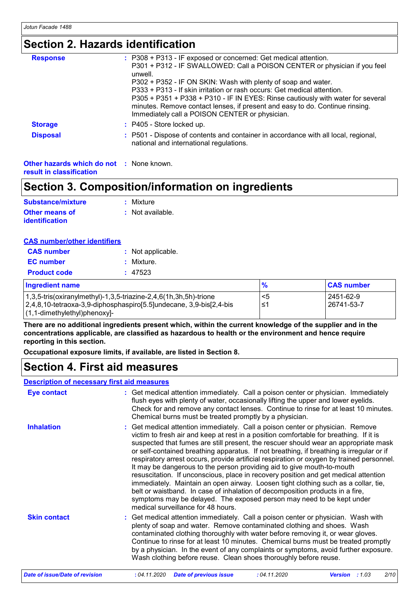### **Section 2. Hazards identification**

| <b>Response</b> | : P308 + P313 - IF exposed or concerned: Get medical attention.                                                                                                                                                   |
|-----------------|-------------------------------------------------------------------------------------------------------------------------------------------------------------------------------------------------------------------|
|                 | P301 + P312 - IF SWALLOWED: Call a POISON CENTER or physician if you feel<br>unwell.                                                                                                                              |
|                 | P302 + P352 - IF ON SKIN: Wash with plenty of soap and water.                                                                                                                                                     |
|                 | P333 + P313 - If skin irritation or rash occurs: Get medical attention.                                                                                                                                           |
|                 | P305 + P351 + P338 + P310 - IF IN EYES: Rinse cautiously with water for several<br>minutes. Remove contact lenses, if present and easy to do. Continue rinsing.<br>Immediately call a POISON CENTER or physician. |
| <b>Storage</b>  | : P405 - Store locked up.                                                                                                                                                                                         |
| <b>Disposal</b> | : P501 - Dispose of contents and container in accordance with all local, regional,<br>national and international regulations.                                                                                     |
|                 |                                                                                                                                                                                                                   |

**Other hazards which do not :** None known. **result in classification**

### **Section 3. Composition/information on ingredients**

| Substance/mixture     | : Mixture        |
|-----------------------|------------------|
| <b>Other means of</b> | : Not available. |
| <b>identification</b> |                  |

| <b>CAS number/other identifiers</b> |
|-------------------------------------|
|-------------------------------------|

| <b>CAS number</b>   | : Not applicable. |
|---------------------|-------------------|
| <b>EC</b> number    | : Mixture.        |
| <b>Product code</b> | : 47523           |
|                     |                   |

| <b>Ingredient name</b>                                              | $\frac{9}{6}$ | <b>CAS number</b> |
|---------------------------------------------------------------------|---------------|-------------------|
| $1,3,5$ -tris(oxiranylmethyl)-1,3,5-triazine-2,4,6(1h,3h,5h)-trione | <5            | 2451-62-9         |
| 2,4,8,10-tetraoxa-3,9-diphosphaspiro[5.5]undecane, 3,9-bis[2,4-bis] | '≥،           | l 26741-53-7      |
| $(1, 1$ -dimethylethyl)phenoxy]-                                    |               |                   |

**There are no additional ingredients present which, within the current knowledge of the supplier and in the concentrations applicable, are classified as hazardous to health or the environment and hence require reporting in this section.**

**Occupational exposure limits, if available, are listed in Section 8.**

### **Section 4. First aid measures**

#### **Description of necessary first aid measures**

| <b>Eye contact</b>  | : Get medical attention immediately. Call a poison center or physician. Immediately<br>flush eyes with plenty of water, occasionally lifting the upper and lower eyelids.<br>Check for and remove any contact lenses. Continue to rinse for at least 10 minutes.<br>Chemical burns must be treated promptly by a physician.                                                                                                                                                                                                                                                                                                                                                                                                                                                                                                                                                                                     |
|---------------------|-----------------------------------------------------------------------------------------------------------------------------------------------------------------------------------------------------------------------------------------------------------------------------------------------------------------------------------------------------------------------------------------------------------------------------------------------------------------------------------------------------------------------------------------------------------------------------------------------------------------------------------------------------------------------------------------------------------------------------------------------------------------------------------------------------------------------------------------------------------------------------------------------------------------|
| <b>Inhalation</b>   | : Get medical attention immediately. Call a poison center or physician. Remove<br>victim to fresh air and keep at rest in a position comfortable for breathing. If it is<br>suspected that fumes are still present, the rescuer should wear an appropriate mask<br>or self-contained breathing apparatus. If not breathing, if breathing is irregular or if<br>respiratory arrest occurs, provide artificial respiration or oxygen by trained personnel.<br>It may be dangerous to the person providing aid to give mouth-to-mouth<br>resuscitation. If unconscious, place in recovery position and get medical attention<br>immediately. Maintain an open airway. Loosen tight clothing such as a collar, tie,<br>belt or waistband. In case of inhalation of decomposition products in a fire,<br>symptoms may be delayed. The exposed person may need to be kept under<br>medical surveillance for 48 hours. |
| <b>Skin contact</b> | : Get medical attention immediately. Call a poison center or physician. Wash with<br>plenty of soap and water. Remove contaminated clothing and shoes. Wash<br>contaminated clothing thoroughly with water before removing it, or wear gloves.<br>Continue to rinse for at least 10 minutes. Chemical burns must be treated promptly<br>by a physician. In the event of any complaints or symptoms, avoid further exposure.<br>Wash clothing before reuse. Clean shoes thoroughly before reuse.                                                                                                                                                                                                                                                                                                                                                                                                                 |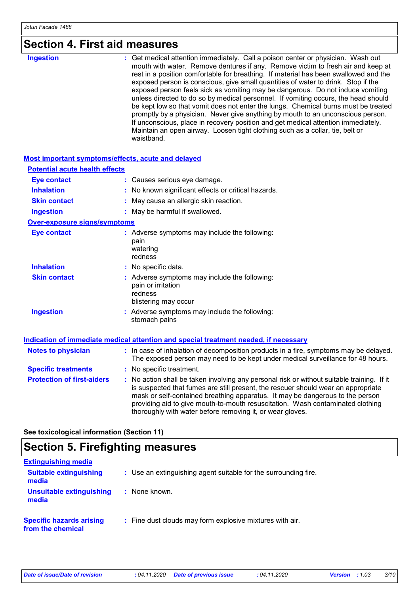## **Section 4. First aid measures**

| waistband. |
|------------|
|------------|

#### **Most important symptoms/effects, acute and delayed**

| <b>Potential acute health effects</b> |                                                                                                                                                                                                                                                                                                                                                                                                                 |
|---------------------------------------|-----------------------------------------------------------------------------------------------------------------------------------------------------------------------------------------------------------------------------------------------------------------------------------------------------------------------------------------------------------------------------------------------------------------|
| <b>Eye contact</b>                    | : Causes serious eye damage.                                                                                                                                                                                                                                                                                                                                                                                    |
| <b>Inhalation</b>                     | : No known significant effects or critical hazards.                                                                                                                                                                                                                                                                                                                                                             |
| <b>Skin contact</b>                   | : May cause an allergic skin reaction.                                                                                                                                                                                                                                                                                                                                                                          |
| <b>Ingestion</b>                      | : May be harmful if swallowed.                                                                                                                                                                                                                                                                                                                                                                                  |
| Over-exposure signs/symptoms          |                                                                                                                                                                                                                                                                                                                                                                                                                 |
| <b>Eye contact</b>                    | : Adverse symptoms may include the following:<br>pain<br>watering<br>redness                                                                                                                                                                                                                                                                                                                                    |
| <b>Inhalation</b>                     | : No specific data.                                                                                                                                                                                                                                                                                                                                                                                             |
| <b>Skin contact</b>                   | : Adverse symptoms may include the following:<br>pain or irritation<br>redness<br>blistering may occur                                                                                                                                                                                                                                                                                                          |
| <b>Ingestion</b>                      | : Adverse symptoms may include the following:<br>stomach pains                                                                                                                                                                                                                                                                                                                                                  |
|                                       | <b>Indication of immediate medical attention and special treatment needed, if necessary</b>                                                                                                                                                                                                                                                                                                                     |
| <b>Notes to physician</b>             | : In case of inhalation of decomposition products in a fire, symptoms may be delayed.<br>The exposed person may need to be kept under medical surveillance for 48 hours.                                                                                                                                                                                                                                        |
| <b>Specific treatments</b>            | : No specific treatment.                                                                                                                                                                                                                                                                                                                                                                                        |
| <b>Protection of first-aiders</b>     | : No action shall be taken involving any personal risk or without suitable training. If it<br>is suspected that fumes are still present, the rescuer should wear an appropriate<br>mask or self-contained breathing apparatus. It may be dangerous to the person<br>providing aid to give mouth-to-mouth resuscitation. Wash contaminated clothing<br>thoroughly with water before removing it, or wear gloves. |

**See toxicological information (Section 11)**

## **Section 5. Firefighting measures**

| <b>Extinguishing media</b>                           |                                                                 |
|------------------------------------------------------|-----------------------------------------------------------------|
| <b>Suitable extinguishing</b><br>media               | : Use an extinguishing agent suitable for the surrounding fire. |
| <b>Unsuitable extinguishing</b><br>media             | : None known.                                                   |
| <b>Specific hazards arising</b><br>from the chemical | : Fine dust clouds may form explosive mixtures with air.        |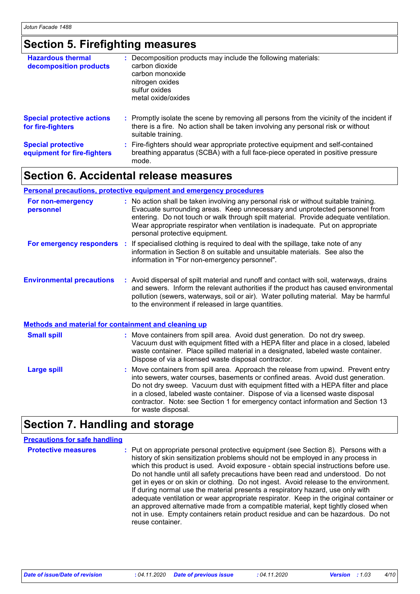## **Section 5. Firefighting measures**

| <b>Hazardous thermal</b><br>decomposition products       | : Decomposition products may include the following materials:<br>carbon dioxide<br>carbon monoxide<br>nitrogen oxides<br>sulfur oxides<br>metal oxide/oxides                                        |
|----------------------------------------------------------|-----------------------------------------------------------------------------------------------------------------------------------------------------------------------------------------------------|
| <b>Special protective actions</b><br>for fire-fighters   | : Promptly isolate the scene by removing all persons from the vicinity of the incident if<br>there is a fire. No action shall be taken involving any personal risk or without<br>suitable training. |
| <b>Special protective</b><br>equipment for fire-fighters | : Fire-fighters should wear appropriate protective equipment and self-contained<br>breathing apparatus (SCBA) with a full face-piece operated in positive pressure<br>mode.                         |

### **Section 6. Accidental release measures**

#### **Personal precautions, protective equipment and emergency procedures**

| For non-emergency<br>personnel                       | : No action shall be taken involving any personal risk or without suitable training.<br>Evacuate surrounding areas. Keep unnecessary and unprotected personnel from<br>entering. Do not touch or walk through spilt material. Provide adequate ventilation.<br>Wear appropriate respirator when ventilation is inadequate. Put on appropriate<br>personal protective equipment.                                                                        |
|------------------------------------------------------|--------------------------------------------------------------------------------------------------------------------------------------------------------------------------------------------------------------------------------------------------------------------------------------------------------------------------------------------------------------------------------------------------------------------------------------------------------|
|                                                      | For emergency responders : If specialised clothing is required to deal with the spillage, take note of any<br>information in Section 8 on suitable and unsuitable materials. See also the<br>information in "For non-emergency personnel".                                                                                                                                                                                                             |
| <b>Environmental precautions</b>                     | : Avoid dispersal of spilt material and runoff and contact with soil, waterways, drains<br>and sewers. Inform the relevant authorities if the product has caused environmental<br>pollution (sewers, waterways, soil or air). Water polluting material. May be harmful<br>to the environment if released in large quantities.                                                                                                                          |
| Methods and material for containment and cleaning up |                                                                                                                                                                                                                                                                                                                                                                                                                                                        |
| <b>Small spill</b>                                   | : Move containers from spill area. Avoid dust generation. Do not dry sweep.<br>Vacuum dust with equipment fitted with a HEPA filter and place in a closed, labeled<br>waste container. Place spilled material in a designated, labeled waste container.<br>Dispose of via a licensed waste disposal contractor.                                                                                                                                        |
| <b>Large spill</b>                                   | : Move containers from spill area. Approach the release from upwind. Prevent entry<br>into sewers, water courses, basements or confined areas. Avoid dust generation.<br>Do not dry sweep. Vacuum dust with equipment fitted with a HEPA filter and place<br>in a closed, labeled waste container. Dispose of via a licensed waste disposal<br>contractor. Note: see Section 1 for emergency contact information and Section 13<br>for waste disposal. |

## **Section 7. Handling and storage**

| <b>Precautions for safe handling</b> |                                                                                                                                                                                                                                                                                                                                                                                                                                                                                                                                                                                                                                                                                                                                                                                                                    |
|--------------------------------------|--------------------------------------------------------------------------------------------------------------------------------------------------------------------------------------------------------------------------------------------------------------------------------------------------------------------------------------------------------------------------------------------------------------------------------------------------------------------------------------------------------------------------------------------------------------------------------------------------------------------------------------------------------------------------------------------------------------------------------------------------------------------------------------------------------------------|
| <b>Protective measures</b>           | : Put on appropriate personal protective equipment (see Section 8). Persons with a<br>history of skin sensitization problems should not be employed in any process in<br>which this product is used. Avoid exposure - obtain special instructions before use.<br>Do not handle until all safety precautions have been read and understood. Do not<br>get in eyes or on skin or clothing. Do not ingest. Avoid release to the environment.<br>If during normal use the material presents a respiratory hazard, use only with<br>adequate ventilation or wear appropriate respirator. Keep in the original container or<br>an approved alternative made from a compatible material, kept tightly closed when<br>not in use. Empty containers retain product residue and can be hazardous. Do not<br>reuse container. |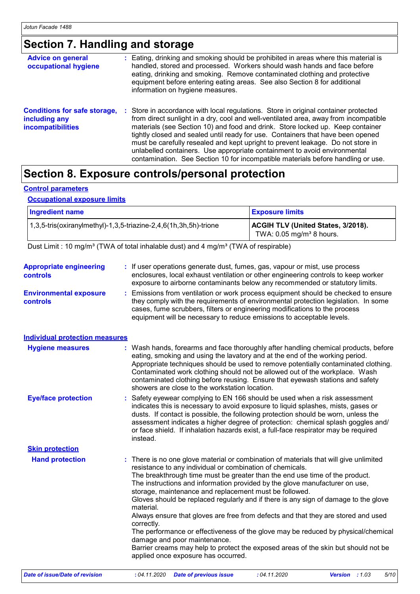# **Section 7. Handling and storage**

| <b>Advice on general</b><br>occupational hygiene                                 | : Eating, drinking and smoking should be prohibited in areas where this material is<br>handled, stored and processed. Workers should wash hands and face before<br>eating, drinking and smoking. Remove contaminated clothing and protective<br>equipment before entering eating areas. See also Section 8 for additional<br>information on hygiene measures.                                                                                                                                                                                                                                        |
|----------------------------------------------------------------------------------|------------------------------------------------------------------------------------------------------------------------------------------------------------------------------------------------------------------------------------------------------------------------------------------------------------------------------------------------------------------------------------------------------------------------------------------------------------------------------------------------------------------------------------------------------------------------------------------------------|
| <b>Conditions for safe storage,</b><br>including any<br><b>incompatibilities</b> | : Store in accordance with local regulations. Store in original container protected<br>from direct sunlight in a dry, cool and well-ventilated area, away from incompatible<br>materials (see Section 10) and food and drink. Store locked up. Keep container<br>tightly closed and sealed until ready for use. Containers that have been opened<br>must be carefully resealed and kept upright to prevent leakage. Do not store in<br>unlabelled containers. Use appropriate containment to avoid environmental<br>contamination. See Section 10 for incompatible materials before handling or use. |

### **Section 8. Exposure controls/personal protection**

#### **Control parameters**

#### **Occupational exposure limits**

| <b>Ingredient name</b>                                                      | <b>Exposure limits</b>                                                       |
|-----------------------------------------------------------------------------|------------------------------------------------------------------------------|
| $(1,3,5\text{-}$ tris(oxiranylmethyl)-1,3,5-triazine-2,4,6(1h,3h,5h)-trione | ACGIH TLV (United States, 3/2018).<br>TWA: $0.05$ mg/m <sup>3</sup> 8 hours. |

Dust Limit : 10 mg/m<sup>3</sup> (TWA of total inhalable dust) and 4 mg/m<sup>3</sup> (TWA of respirable)

| <b>Appropriate engineering</b>                   | : If user operations generate dust, fumes, gas, vapour or mist, use process                                                                                                                                                                                                                                                                                                                                                                                                                                                                                                                                                                                                                                                                                                                                                       |
|--------------------------------------------------|-----------------------------------------------------------------------------------------------------------------------------------------------------------------------------------------------------------------------------------------------------------------------------------------------------------------------------------------------------------------------------------------------------------------------------------------------------------------------------------------------------------------------------------------------------------------------------------------------------------------------------------------------------------------------------------------------------------------------------------------------------------------------------------------------------------------------------------|
| controls                                         | enclosures, local exhaust ventilation or other engineering controls to keep worker<br>exposure to airborne contaminants below any recommended or statutory limits.                                                                                                                                                                                                                                                                                                                                                                                                                                                                                                                                                                                                                                                                |
| <b>Environmental exposure</b><br><b>controls</b> | : Emissions from ventilation or work process equipment should be checked to ensure<br>they comply with the requirements of environmental protection legislation. In some<br>cases, fume scrubbers, filters or engineering modifications to the process<br>equipment will be necessary to reduce emissions to acceptable levels.                                                                                                                                                                                                                                                                                                                                                                                                                                                                                                   |
| <b>Individual protection measures</b>            |                                                                                                                                                                                                                                                                                                                                                                                                                                                                                                                                                                                                                                                                                                                                                                                                                                   |
| <b>Hygiene measures</b>                          | : Wash hands, forearms and face thoroughly after handling chemical products, before<br>eating, smoking and using the lavatory and at the end of the working period.<br>Appropriate techniques should be used to remove potentially contaminated clothing.<br>Contaminated work clothing should not be allowed out of the workplace. Wash<br>contaminated clothing before reusing. Ensure that eyewash stations and safety<br>showers are close to the workstation location.                                                                                                                                                                                                                                                                                                                                                       |
| <b>Eye/face protection</b>                       | Safety eyewear complying to EN 166 should be used when a risk assessment<br>indicates this is necessary to avoid exposure to liquid splashes, mists, gases or<br>dusts. If contact is possible, the following protection should be worn, unless the<br>assessment indicates a higher degree of protection: chemical splash goggles and/<br>or face shield. If inhalation hazards exist, a full-face respirator may be required<br>instead.                                                                                                                                                                                                                                                                                                                                                                                        |
| <b>Skin protection</b>                           |                                                                                                                                                                                                                                                                                                                                                                                                                                                                                                                                                                                                                                                                                                                                                                                                                                   |
| <b>Hand protection</b>                           | There is no one glove material or combination of materials that will give unlimited<br>resistance to any individual or combination of chemicals.<br>The breakthrough time must be greater than the end use time of the product.<br>The instructions and information provided by the glove manufacturer on use,<br>storage, maintenance and replacement must be followed.<br>Gloves should be replaced regularly and if there is any sign of damage to the glove<br>material.<br>Always ensure that gloves are free from defects and that they are stored and used<br>correctly.<br>The performance or effectiveness of the glove may be reduced by physical/chemical<br>damage and poor maintenance.<br>Barrier creams may help to protect the exposed areas of the skin but should not be<br>applied once exposure has occurred. |
| Date of issue/Date of revision                   | : 04.11.2020<br>: 04.11.2020<br>5/10<br><b>Date of previous issue</b><br><b>Version</b> : $1.03$                                                                                                                                                                                                                                                                                                                                                                                                                                                                                                                                                                                                                                                                                                                                  |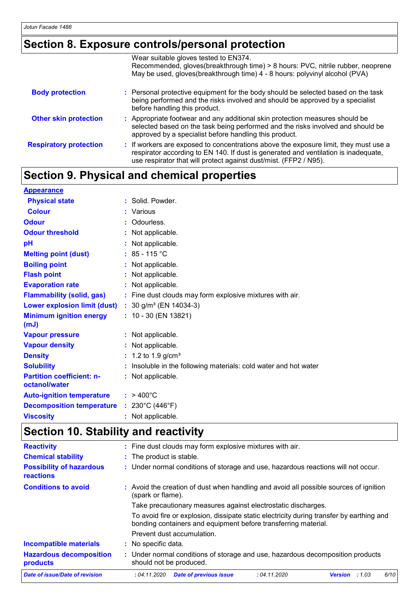## **Section 8. Exposure controls/personal protection**

|                               | Wear suitable gloves tested to EN374.<br>Recommended, gloves(breakthrough time) > 8 hours: PVC, nitrile rubber, neoprene<br>May be used, gloves(breakthrough time) 4 - 8 hours: polyvinyl alcohol (PVA)                                          |
|-------------------------------|--------------------------------------------------------------------------------------------------------------------------------------------------------------------------------------------------------------------------------------------------|
| <b>Body protection</b>        | : Personal protective equipment for the body should be selected based on the task<br>being performed and the risks involved and should be approved by a specialist<br>before handling this product.                                              |
| <b>Other skin protection</b>  | : Appropriate footwear and any additional skin protection measures should be<br>selected based on the task being performed and the risks involved and should be<br>approved by a specialist before handling this product.                        |
| <b>Respiratory protection</b> | : If workers are exposed to concentrations above the exposure limit, they must use a<br>respirator according to EN 140. If dust is generated and ventilation is inadequate,<br>use respirator that will protect against dust/mist. (FFP2 / N95). |

## **Section 9. Physical and chemical properties**

| <b>Appearance</b>                                 |   |                                                                |
|---------------------------------------------------|---|----------------------------------------------------------------|
| <b>Physical state</b>                             |   | : Solid. Powder.                                               |
| <b>Colour</b>                                     |   | Various                                                        |
| <b>Odour</b>                                      |   | Odourless.                                                     |
| <b>Odour threshold</b>                            |   | Not applicable.                                                |
| pH                                                |   | Not applicable.                                                |
| <b>Melting point (dust)</b>                       |   | : $85 - 115$ °C                                                |
| <b>Boiling point</b>                              | ÷ | Not applicable.                                                |
| <b>Flash point</b>                                |   | Not applicable.                                                |
| <b>Evaporation rate</b>                           |   | Not applicable.                                                |
| <b>Flammability (solid, gas)</b>                  |   | : Fine dust clouds may form explosive mixtures with air.       |
| <b>Lower explosion limit (dust)</b>               |   | : $30$ g/m <sup>3</sup> (EN 14034-3)                           |
| <b>Minimum ignition energy</b><br>(mJ)            |   | $: 10 - 30$ (EN 13821)                                         |
| <b>Vapour pressure</b>                            |   | : Not applicable.                                              |
| <b>Vapour density</b>                             |   | Not applicable.                                                |
| <b>Density</b>                                    |   | 1.2 to 1.9 $g/cm^{3}$                                          |
| <b>Solubility</b>                                 |   | Insoluble in the following materials: cold water and hot water |
| <b>Partition coefficient: n-</b><br>octanol/water |   | : Not applicable.                                              |
| <b>Auto-ignition temperature</b>                  |   | $: 9400^{\circ}$ C                                             |
| <b>Decomposition temperature</b>                  |   | : $230^{\circ}$ C (446 $^{\circ}$ F)                           |
| <b>Viscosity</b>                                  |   | Not applicable.                                                |

# **Section 10. Stability and reactivity**

| <b>Reactivity</b>                            | : Fine dust clouds may form explosive mixtures with air.                                                                                                   |  |  |  |  |
|----------------------------------------------|------------------------------------------------------------------------------------------------------------------------------------------------------------|--|--|--|--|
| <b>Chemical stability</b>                    | : The product is stable.                                                                                                                                   |  |  |  |  |
| <b>Possibility of hazardous</b><br>reactions | : Under normal conditions of storage and use, hazardous reactions will not occur.                                                                          |  |  |  |  |
| <b>Conditions to avoid</b>                   | : Avoid the creation of dust when handling and avoid all possible sources of ignition<br>(spark or flame).                                                 |  |  |  |  |
|                                              | Take precautionary measures against electrostatic discharges.                                                                                              |  |  |  |  |
|                                              | To avoid fire or explosion, dissipate static electricity during transfer by earthing and<br>bonding containers and equipment before transferring material. |  |  |  |  |
|                                              | Prevent dust accumulation.                                                                                                                                 |  |  |  |  |
| <b>Incompatible materials</b>                | : No specific data.                                                                                                                                        |  |  |  |  |
| <b>Hazardous decomposition</b><br>products   | : Under normal conditions of storage and use, hazardous decomposition products<br>should not be produced.                                                  |  |  |  |  |
| Date of issue/Date of revision               | <b>Date of previous issue</b><br>6/10<br>:04.11.2020<br>: 04.11.2020<br><b>Version</b><br>:1.03                                                            |  |  |  |  |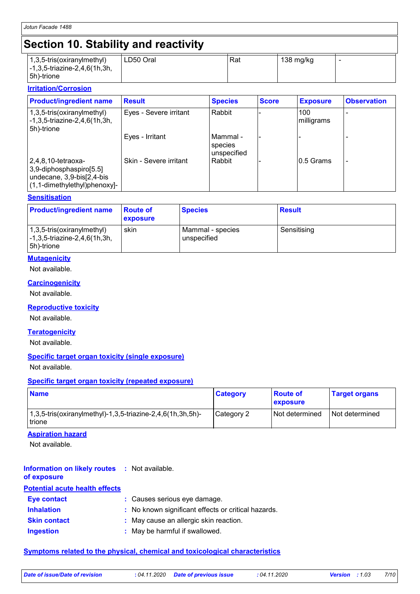## **Section 10. Stability and reactivity**

| $(1,3,5\text{-tris}(\text{oxirany}(\text{method})))$<br>$\left[-1, 3, 5\right]$ -triazine-2,4,6(1h,3h,<br>5h)-trione | LD50 Oral | Rat | 138 mg/kg |  |
|----------------------------------------------------------------------------------------------------------------------|-----------|-----|-----------|--|

#### **Irritation/Corrosion**

| <b>Product/ingredient name</b>                                                                                      | <b>Result</b>          | <b>Species</b>                       | <b>Score</b> | <b>Exposure</b>   | <b>Observation</b> |
|---------------------------------------------------------------------------------------------------------------------|------------------------|--------------------------------------|--------------|-------------------|--------------------|
| $(1,3,5\text{-tris}(oxiranylmethyl))$<br>$\left[-1, 3, 5\right]$ -triazine-2,4,6(1h,3h,<br>5h)-trione               | Eyes - Severe irritant | Rabbit                               |              | 100<br>milligrams |                    |
|                                                                                                                     | Eyes - Irritant        | l Mammal -<br>species<br>unspecified |              |                   |                    |
| $ 2,4,8,10$ -tetraoxa-<br>3,9-diphosphaspiro[5.5]<br>undecane, 3,9-bis[2,4-bis]<br>$(1, 1$ -dimethylethyl)phenoxy]- | Skin - Severe irritant | Rabbit                               |              | 0.5 Grams         |                    |

#### **Sensitisation**

| <b>Product/ingredient name</b>                                           | <b>Route of</b><br><b>exposure</b> | <b>Species</b>                  | <b>Result</b> |
|--------------------------------------------------------------------------|------------------------------------|---------------------------------|---------------|
| 1,3,5-tris(oxiranylmethyl)<br>-1,3,5-triazine-2,4,6(1h,3h,<br>5h)-trione | skin                               | Mammal - species<br>unspecified | Sensitising   |

#### **Mutagenicity**

Not available.

#### **Carcinogenicity**

Not available.

#### **Reproductive toxicity**

Not available.

#### **Teratogenicity**

Not available.

#### **Specific target organ toxicity (single exposure)**

Not available.

#### **Specific target organ toxicity (repeated exposure)**

| <b>Name</b>                                                          | <b>Category</b> | <b>Boute of</b><br><b>Exposure</b> | <b>Target organs</b> |
|----------------------------------------------------------------------|-----------------|------------------------------------|----------------------|
| 1,3,5-tris(oxiranylmethyl)-1,3,5-triazine-2,4,6(1h,3h,5h)-<br>trione | Category 2      | Not determined                     | l Not determined     |

#### **Aspiration hazard**

Not available.

#### **Information on likely routes :** Not available. **of exposure**

| <b>Potential acute health effects</b> |                                                     |  |  |
|---------------------------------------|-----------------------------------------------------|--|--|
| <b>Eye contact</b>                    | : Causes serious eye damage.                        |  |  |
| <b>Inhalation</b>                     | : No known significant effects or critical hazards. |  |  |
| <b>Skin contact</b>                   | : May cause an allergic skin reaction.              |  |  |
| <b>Ingestion</b>                      | : May be harmful if swallowed.                      |  |  |

#### **Symptoms related to the physical, chemical and toxicological characteristics**

| Date of issue/Date of revision | : 04.11.2020 |
|--------------------------------|--------------|
|                                |              |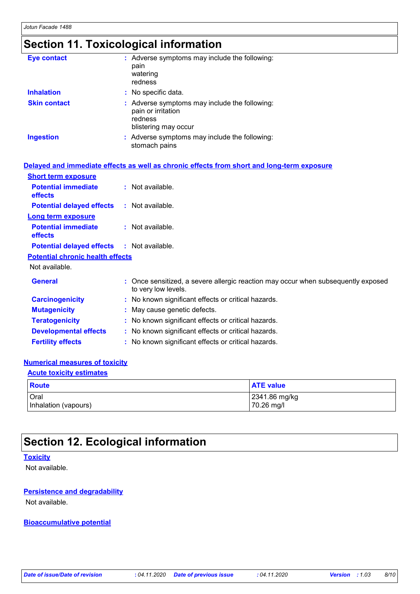## **Section 11. Toxicological information**

| <b>Eye contact</b>  | : Adverse symptoms may include the following:<br>pain<br>watering<br>redness                           |
|---------------------|--------------------------------------------------------------------------------------------------------|
| <b>Inhalation</b>   | : No specific data.                                                                                    |
| <b>Skin contact</b> | : Adverse symptoms may include the following:<br>pain or irritation<br>redness<br>blistering may occur |
| <b>Ingestion</b>    | : Adverse symptoms may include the following:<br>stomach pains                                         |

|                                                   | Delayed and immediate effects as well as chronic effects from short and long-term exposure               |
|---------------------------------------------------|----------------------------------------------------------------------------------------------------------|
| <b>Short term exposure</b>                        |                                                                                                          |
| <b>Potential immediate</b><br><b>effects</b>      | : Not available.                                                                                         |
| <b>Potential delayed effects : Not available.</b> |                                                                                                          |
| <b>Long term exposure</b>                         |                                                                                                          |
| <b>Potential immediate</b><br><b>effects</b>      | $:$ Not available.                                                                                       |
| <b>Potential delayed effects : Not available.</b> |                                                                                                          |
| <b>Potential chronic health effects</b>           |                                                                                                          |
| Not available.                                    |                                                                                                          |
| <b>General</b>                                    | : Once sensitized, a severe allergic reaction may occur when subsequently exposed<br>to very low levels. |
| <b>Carcinogenicity</b>                            | : No known significant effects or critical hazards.                                                      |
| <b>Mutagenicity</b>                               | : May cause genetic defects.                                                                             |
| <b>Teratogenicity</b>                             | : No known significant effects or critical hazards.                                                      |
| <b>Developmental effects</b>                      | : No known significant effects or critical hazards.                                                      |
| <b>Fertility effects</b>                          | : No known significant effects or critical hazards.                                                      |

#### **Numerical measures of toxicity**

### **Acute toxicity estimates**

| Route                | <b>ATE value</b> |
|----------------------|------------------|
| Oral                 | 2341.86 mg/kg    |
| Inhalation (vapours) | 70.26 mg/l       |

### **Section 12. Ecological information**

#### **Toxicity**

Not available.

#### **Persistence and degradability**

Not available.

#### **Bioaccumulative potential**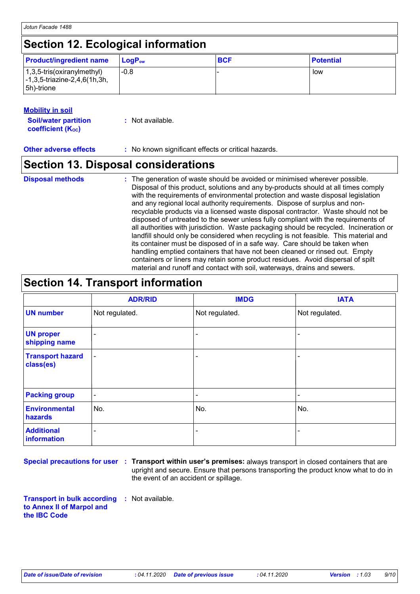### **Section 12. Ecological information**

| <b>Product/ingredient name</b>                                                                                          | $\mathsf{LogP}_\mathsf{ow}$ | <b>BCF</b> | <b>Potential</b> |
|-------------------------------------------------------------------------------------------------------------------------|-----------------------------|------------|------------------|
| $(1,3,5\text{-tris}(\text{oxirany}(\text{method}))$<br>$\left[-1, 3, 5\right]$ -triazine-2,4,6(1h,3h,<br>$ 5h)$ -trione | $-0.8$                      |            | low              |

#### **Mobility in soil**

| <b>Soil/water partition</b> | : Not available. |
|-----------------------------|------------------|
| <b>coefficient (Koc)</b>    |                  |

**Other adverse effects** : No known significant effects or critical hazards.

### **Section 13. Disposal considerations**

#### The generation of waste should be avoided or minimised wherever possible. Disposal of this product, solutions and any by-products should at all times comply with the requirements of environmental protection and waste disposal legislation and any regional local authority requirements. Dispose of surplus and nonrecyclable products via a licensed waste disposal contractor. Waste should not be disposed of untreated to the sewer unless fully compliant with the requirements of all authorities with jurisdiction. Waste packaging should be recycled. Incineration or landfill should only be considered when recycling is not feasible. This material and its container must be disposed of in a safe way. Care should be taken when handling emptied containers that have not been cleaned or rinsed out. Empty containers or liners may retain some product residues. Avoid dispersal of spilt material and runoff and contact with soil, waterways, drains and sewers. **Disposal methods :**

## **Section 14. Transport information**

|                                      | <b>ADR/RID</b>           | <b>IMDG</b>              | <b>IATA</b>              |
|--------------------------------------|--------------------------|--------------------------|--------------------------|
| <b>UN number</b>                     | Not regulated.           | Not regulated.           | Not regulated.           |
| <b>UN proper</b><br>shipping name    | $\overline{\phantom{a}}$ | $\blacksquare$           | ۰                        |
| <b>Transport hazard</b><br>class(es) | $\blacksquare$           | ٠                        | ٠                        |
| <b>Packing group</b>                 | $\blacksquare$           | $\overline{\phantom{a}}$ | $\overline{\phantom{a}}$ |
| <b>Environmental</b><br>hazards      | No.                      | No.                      | No.                      |
| <b>Additional</b><br>information     | ۰                        | $\blacksquare$           | ۰                        |

**Special precautions for user Transport within user's premises:** always transport in closed containers that are **:** upright and secure. Ensure that persons transporting the product know what to do in the event of an accident or spillage.

**Transport in bulk according :** Not available. **to Annex II of Marpol and the IBC Code**